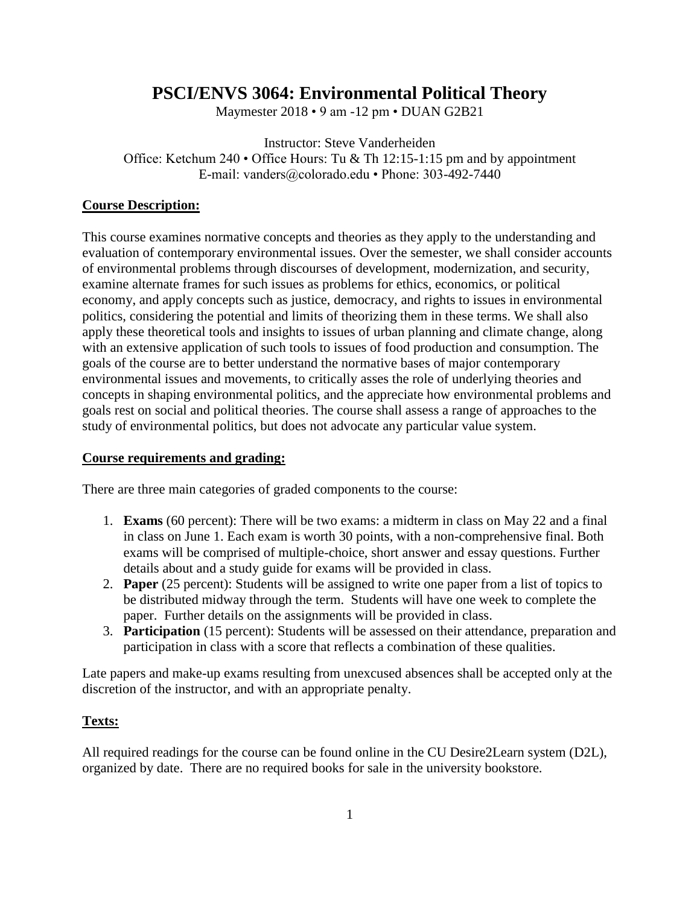# **PSCI/ENVS 3064: Environmental Political Theory**

Maymester 2018 • 9 am -12 pm • DUAN G2B21

Instructor: Steve Vanderheiden Office: Ketchum 240 • Office Hours: Tu & Th 12:15-1:15 pm and by appointment E-mail: vanders@colorado.edu • Phone: 303-492-7440

# **Course Description:**

This course examines normative concepts and theories as they apply to the understanding and evaluation of contemporary environmental issues. Over the semester, we shall consider accounts of environmental problems through discourses of development, modernization, and security, examine alternate frames for such issues as problems for ethics, economics, or political economy, and apply concepts such as justice, democracy, and rights to issues in environmental politics, considering the potential and limits of theorizing them in these terms. We shall also apply these theoretical tools and insights to issues of urban planning and climate change, along with an extensive application of such tools to issues of food production and consumption. The goals of the course are to better understand the normative bases of major contemporary environmental issues and movements, to critically asses the role of underlying theories and concepts in shaping environmental politics, and the appreciate how environmental problems and goals rest on social and political theories. The course shall assess a range of approaches to the study of environmental politics, but does not advocate any particular value system.

# **Course requirements and grading:**

There are three main categories of graded components to the course:

- 1. **Exams** (60 percent): There will be two exams: a midterm in class on May 22 and a final in class on June 1. Each exam is worth 30 points, with a non-comprehensive final. Both exams will be comprised of multiple-choice, short answer and essay questions. Further details about and a study guide for exams will be provided in class.
- 2. **Paper** (25 percent): Students will be assigned to write one paper from a list of topics to be distributed midway through the term. Students will have one week to complete the paper. Further details on the assignments will be provided in class.
- 3. **Participation** (15 percent): Students will be assessed on their attendance, preparation and participation in class with a score that reflects a combination of these qualities.

Late papers and make-up exams resulting from unexcused absences shall be accepted only at the discretion of the instructor, and with an appropriate penalty.

# **Texts:**

All required readings for the course can be found online in the CU Desire2Learn system (D2L), organized by date. There are no required books for sale in the university bookstore.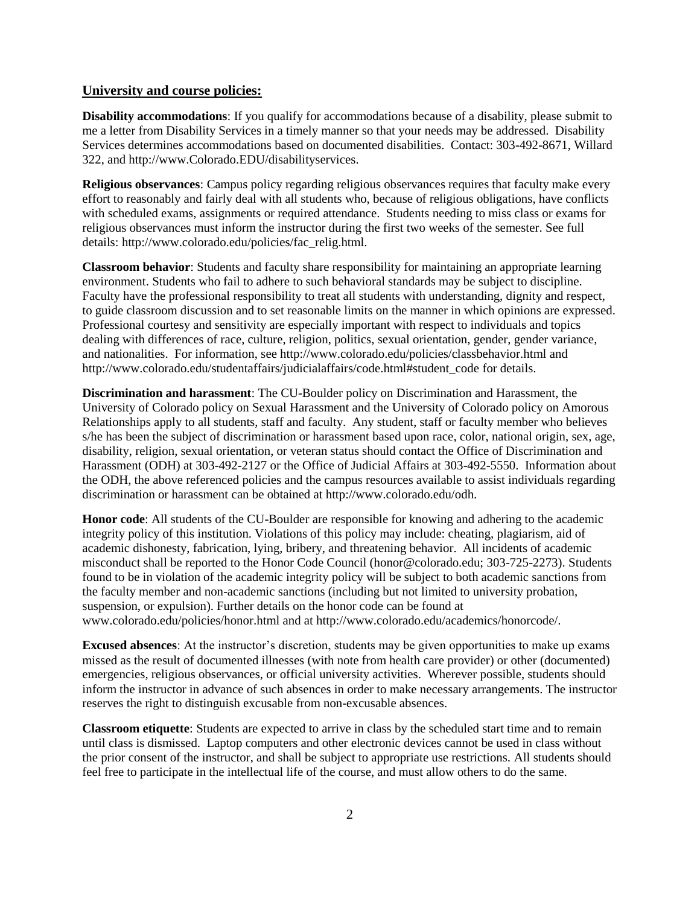#### **University and course policies:**

**Disability accommodations**: If you qualify for accommodations because of a disability, please submit to me a letter from Disability Services in a timely manner so that your needs may be addressed. Disability Services determines accommodations based on documented disabilities. Contact: 303-492-8671, Willard 322, and http://www.Colorado.EDU/disabilityservices.

**Religious observances**: Campus policy regarding religious observances requires that faculty make every effort to reasonably and fairly deal with all students who, because of religious obligations, have conflicts with scheduled exams, assignments or required attendance. Students needing to miss class or exams for religious observances must inform the instructor during the first two weeks of the semester. See full details: http://www.colorado.edu/policies/fac\_relig.html.

**Classroom behavior**: Students and faculty share responsibility for maintaining an appropriate learning environment. Students who fail to adhere to such behavioral standards may be subject to discipline. Faculty have the professional responsibility to treat all students with understanding, dignity and respect, to guide classroom discussion and to set reasonable limits on the manner in which opinions are expressed. Professional courtesy and sensitivity are especially important with respect to individuals and topics dealing with differences of race, culture, religion, politics, sexual orientation, gender, gender variance, and nationalities. For information, see http://www.colorado.edu/policies/classbehavior.html and http://www.colorado.edu/studentaffairs/judicialaffairs/code.html#student\_code for details.

**Discrimination and harassment**: The CU-Boulder policy on Discrimination and Harassment, the University of Colorado policy on Sexual Harassment and the University of Colorado policy on Amorous Relationships apply to all students, staff and faculty. Any student, staff or faculty member who believes s/he has been the subject of discrimination or harassment based upon race, color, national origin, sex, age, disability, religion, sexual orientation, or veteran status should contact the Office of Discrimination and Harassment (ODH) at 303-492-2127 or the Office of Judicial Affairs at 303-492-5550. Information about the ODH, the above referenced policies and the campus resources available to assist individuals regarding discrimination or harassment can be obtained at http://www.colorado.edu/odh.

**Honor code**: All students of the CU-Boulder are responsible for knowing and adhering to the academic integrity policy of this institution. Violations of this policy may include: cheating, plagiarism, aid of academic dishonesty, fabrication, lying, bribery, and threatening behavior. All incidents of academic misconduct shall be reported to the Honor Code Council (honor@colorado.edu; 303-725-2273). Students found to be in violation of the academic integrity policy will be subject to both academic sanctions from the faculty member and non-academic sanctions (including but not limited to university probation, suspension, or expulsion). Further details on the honor code can be found at www.colorado.edu/policies/honor.html and at http://www.colorado.edu/academics/honorcode/.

**Excused absences**: At the instructor's discretion, students may be given opportunities to make up exams missed as the result of documented illnesses (with note from health care provider) or other (documented) emergencies, religious observances, or official university activities. Wherever possible, students should inform the instructor in advance of such absences in order to make necessary arrangements. The instructor reserves the right to distinguish excusable from non-excusable absences.

**Classroom etiquette**: Students are expected to arrive in class by the scheduled start time and to remain until class is dismissed. Laptop computers and other electronic devices cannot be used in class without the prior consent of the instructor, and shall be subject to appropriate use restrictions. All students should feel free to participate in the intellectual life of the course, and must allow others to do the same.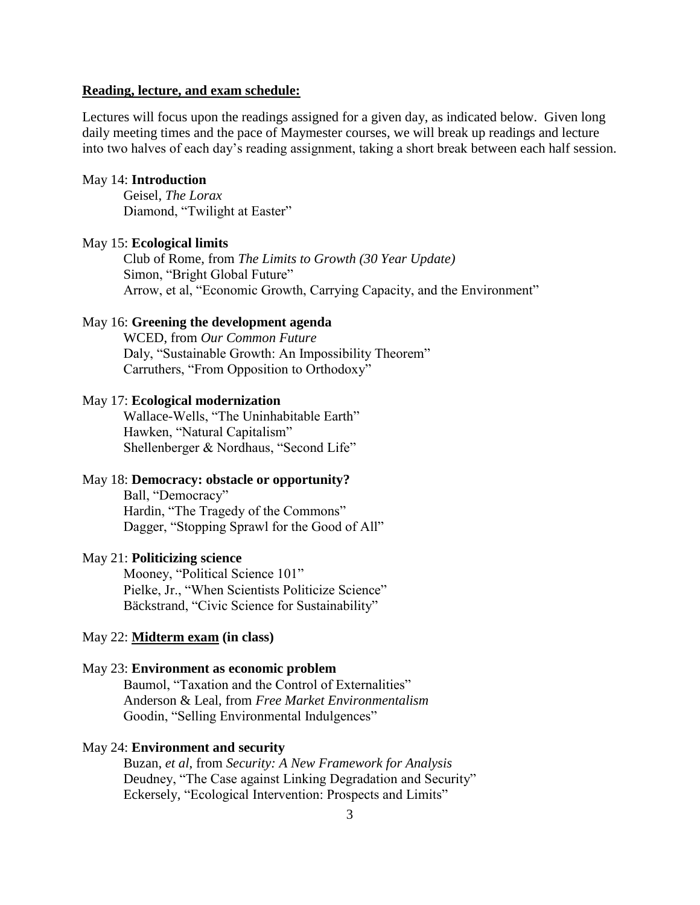#### **Reading, lecture, and exam schedule:**

Lectures will focus upon the readings assigned for a given day, as indicated below. Given long daily meeting times and the pace of Maymester courses, we will break up readings and lecture into two halves of each day's reading assignment, taking a short break between each half session.

#### May 14: **Introduction**

Geisel, *The Lorax* Diamond, "Twilight at Easter"

#### May 15: **Ecological limits**

Club of Rome, from *The Limits to Growth (30 Year Update)* Simon, "Bright Global Future" Arrow, et al, "Economic Growth, Carrying Capacity, and the Environment"

# May 16: **Greening the development agenda**

WCED, from *Our Common Future* Daly, "Sustainable Growth: An Impossibility Theorem" Carruthers, "From Opposition to Orthodoxy"

#### May 17: **Ecological modernization**

Wallace-Wells, "The Uninhabitable Earth" Hawken, "Natural Capitalism" Shellenberger & Nordhaus, "Second Life"

# May 18: **Democracy: obstacle or opportunity?**

Ball, "Democracy" Hardin, "The Tragedy of the Commons" Dagger, "Stopping Sprawl for the Good of All"

# May 21: **Politicizing science**

Mooney, "Political Science 101" Pielke, Jr., "When Scientists Politicize Science" Bäckstrand, "Civic Science for Sustainability"

### May 22: **Midterm exam (in class)**

## May 23: **Environment as economic problem**

Baumol, "Taxation and the Control of Externalities" Anderson & Leal, from *Free Market Environmentalism* Goodin, "Selling Environmental Indulgences"

#### May 24: **Environment and security**

Buzan, *et al*, from *Security: A New Framework for Analysis* Deudney, "The Case against Linking Degradation and Security" Eckersely, "Ecological Intervention: Prospects and Limits"